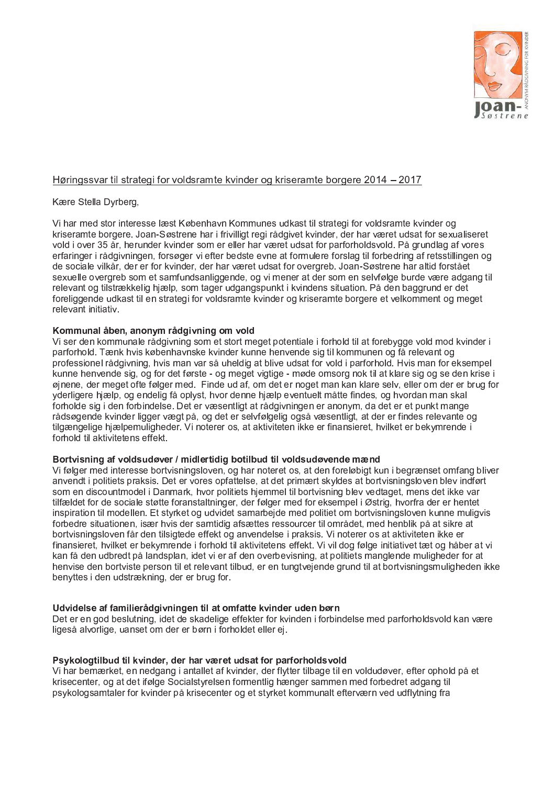

# Høringssvar til strategi for voldsramte kvinder og kriseramte borgere 2014 – 2017

## Kære Stella Dyrberg,

Vi har med stor interesse læst København Kommunes udkast til strategi for voldsramte kvinder og kriseramte borgere. Joan-Søstrene har i frivilligt regi rådgivet kvinder, der har været udsat for sexualiseret vold i over 35 år, herunder kvinder som er eller har været udsat for parforholdsvold. På grundlag af vores erfaringer i rådgivningen, forsøger vi efter bedste evne at formulere forslag til forbedring af retsstillingen og de sociale vilkår, der er for kvinder, der har været udsat for overgreb. Joan-Søstrene har altid forstået sexuelle overgreb som et samfundsanliggende, og vi mener at der som en selvfølge burde være adgang til relevant og tilstrækkelig hjælp, som tager udgangspunkt i kvindens situation. På den baggrund er det foreliggende udkast til en strategi for voldsramte kvinder og kriseramte borgere et velkomment og meget relevant initiativ

### Kommunal åben, anonym rådgivning om vold

Vi ser den kommunale rådgivning som et stort meget potentiale i forhold til at forebygge vold mod kvinder i parforhold. Tænk hvis københavnske kvinder kunne henvende sig til kommunen og få relevant og professionel rådgivning, hvis man var så uheldig at blive udsat for vold i parforhold. Hvis man for eksempel kunne henvende sig, og for det første - og meget vigtige - møde omsorg nok til at klare sig og se den krise i ginene, der meget ofte følger med. Finde ud af, om det er noget man kan klare selv, eller om der er brug for yderligere hjælp, og endelig få oplyst, hvor denne hjælp eventuelt måtte findes, og hvordan man skal forholde sig i den forbindelse. Det er væsentligt at rådgivningen er anonym, da det er et punkt mange rådsøgende kvinder ligger vægt på, og det er selvfølgelig også væsentligt, at der er findes relevante og tilgængelige hjælpemuligheder. Vi noterer os, at aktiviteten ikke er finansieret, hvilket er bekymrende i forhold til aktivitetens effekt

### Bortvisning af voldsudøver / midlertidig botilbud til voldsudøvende mænd

Vi følger med interesse bortvisningsloven, og har noteret os, at den foreløbigt kun i begrænset omfang bliver anvendt i politiets praksis. Det er vores opfattelse, at det primært skyldes at bortvisningsloven blev indført som en discountmodel i Danmark, hvor politiets hjemmel til bortvisning blev vedtaget, mens det ikke var tilfældet for de sociale støtte foranstaltninger, der følger med for eksempel i Østrig, hvorfra der er hentet inspiration til modellen. Et styrket og udvidet samarbejde med politiet om bortvisningsloven kunne muligvis forbedre situationen, især hvis der samtidig afsættes ressourcer til området, med henblik på at sikre at bortvisningsloven får den tilsigtede effekt og anvendelse i praksis. Vi noterer os at aktiviteten ikke er finansieret, hvilket er bekymrende i forhold til aktivitetens effekt. Vi vil dog følge initiativet tæt og håber at vi kan få den udbredt på landsplan, idet vi er af den overbevisning, at politiets manglende muligheder for at henvise den bortviste person til et relevant tilbud, er en tungtvejende grund til at bortvisningsmuligheden ikke benyttes i den udstrækning, der er brug for

### Udvidelse af familierådgivningen til at omfatte kvinder uden børn

Det er en god beslutning, idet de skadelige effekter for kvinden i forbindelse med parforholdsvold kan være ligeså alvorlige, uanset om der er børn i forholdet eller ej.

### Psykologtilbud til kvinder, der har været udsat for parforholdsvold

Vi har bemærket, en nedgang i antallet af kvinder, der flytter tilbage til en voldudøver, efter ophold på et krisecenter, og at det ifølge Socialstyrelsen formentlig hænger sammen med forbedret adgang til psykologsamtaler for kvinder på krisecenter og et styrket kommunalt efterværn ved udflytning fra